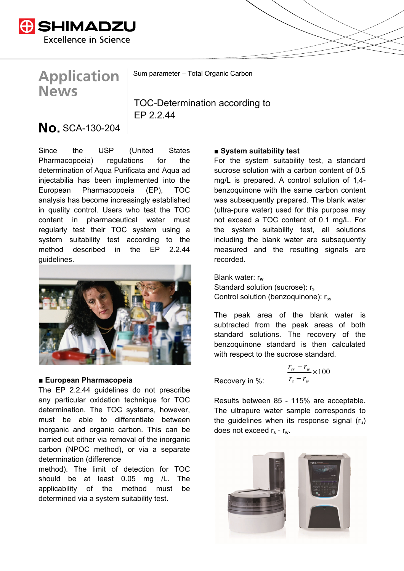

# **Application News**

Sum parameter – Total Organic Carbon

TOC-Determination according to FP 2.2.44

## **No.** SCA-130-204

Since the USP (United States Pharmacopoeia) regulations for the determination of Aqua Purificata and Aqua ad injectabilia has been implemented into the European Pharmacopoeia (EP), TOC analysis has become increasingly established in quality control. Users who test the TOC content in pharmaceutical water must regularly test their TOC system using a system suitability test according to the method described in the EP 2.2.44 guidelines.



#### **■ European Pharmacopeia**

The EP 2.2.44 guidelines do not prescribe any particular oxidation technique for TOC determination. The TOC systems, however, must be able to differentiate between inorganic and organic carbon. This can be carried out either via removal of the inorganic carbon (NPOC method), or via a separate determination (difference

method). The limit of detection for TOC should be at least 0.05 mg /L. The applicability of the method must be determined via a system suitability test.

#### ■ System suitability test

For the system suitability test, a standard sucrose solution with a carbon content of 0.5 mg/L is prepared. A control solution of 1,4 benzoquinone with the same carbon content was subsequently prepared. The blank water (ultra-pure water) used for this purpose may not exceed a TOC content of 0.1 mg/L. For the system suitability test, all solutions including the blank water are subsequently measured and the resulting signals are recorded.

Blank water: r**<sup>w</sup>** Standard solution (sucrose):  $r_s$ Control solution (benzoquinone):  $r_{ss}$ 

The peak area of the blank water is subtracted from the peak areas of both standard solutions. The recovery of the benzoquinone standard is then calculated with respect to the sucrose standard.

Recovery in %:  $\frac{-r_w}{-r_w} \times 100$ *s w*  $s s$   $\mathbf{v}_w$  $r<sub>s</sub> - r$  $r_{\rm ss} - r$ 

Results between 85 - 115% are acceptable. The ultrapure water sample corresponds to the quidelines when its response signal  $(r_{\rm u})$ does not exceed  $r_s$  -  $r_w$ .